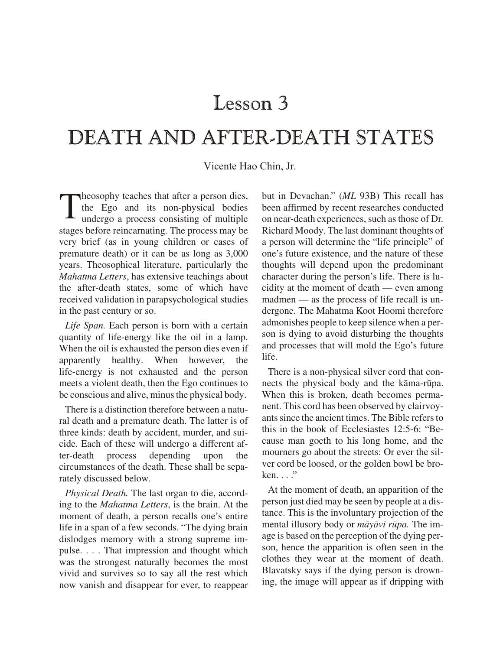# Lesson 3

## DEATH AND AFTER-DEATH STATES

Vicente Hao Chin, Jr.

T heosophy teaches that after a person dies, the Ego and its non-physical bodies undergo a process consisting of multiple stages before reincarnating. The process may be very brief (as in young children or cases of premature death) or it can be as long as 3,000 years. Theosophical literature, particularly the *Mahatma Letters*, has extensive teachings about the after-death states, some of which have received validation in parapsychological studies in the past century or so.

*Life Span.* Each person is born with a certain quantity of life-energy like the oil in a lamp. When the oil is exhausted the person dies even if apparently healthy. When however, the life-energy is not exhausted and the person meets a violent death, then the Ego continues to be conscious and alive, minus the physical body.

There is a distinction therefore between a natural death and a premature death. The latter is of three kinds: death by accident, murder, and suicide. Each of these will undergo a different after-death process depending upon the cir cum stances of the death. These shall be separately discussed below.

Physical Death. The last organ to die, according to the *Mahatma Letters*, is the brain. At the moment of death, a person recalls one's entire life in a span of a few seconds. "The dying brain dislodges memory with a strong supreme impulse. . . . That impression and thought which was the strongest naturally becomes the most vivid and survives so to say all the rest which now vanish and disappear for ever, to reappear but in Devachan." (*ML* 93B) This recall has been affirmed by recent researches conducted on near-death experiences, such as those of Dr. Richard Moody. The last dominant thoughts of a person will determine the "life principle" of one's future existence, and the nature of these thoughts will depend upon the predominant character during the person's life. There is lucidity at the moment of death — even among  $m$ amad men — as the process of life recall is undergone. The Mahatma Koot Hoomi therefore ad monishes people to keep silence when a person is dying to avoid disturbing the thoughts and processes that will mold the Ego's future life.

There is a non-physical silver cord that connects the physical body and the kāma-rūpa. When this is broken, death becomes permanent. This cord has been observed by clairvoyants since the ancient times. The Bible refers to this in the book of Ecclesiastes  $12:5-6$ : "Because man goeth to his long home, and the mourners go about the streets: Or ever the silver cord be loosed, or the golden bowl be broken. . . . "

At the moment of death, an apparition of the person just died may be seen by people at a distance. This is the involuntary projection of the mental illusory body or *māyāvi rūpa*. The image is based on the perception of the dying person, hence the apparition is often seen in the clothes they wear at the moment of death. Blavatsky says if the dying person is drowning, the image will appear as if dripping with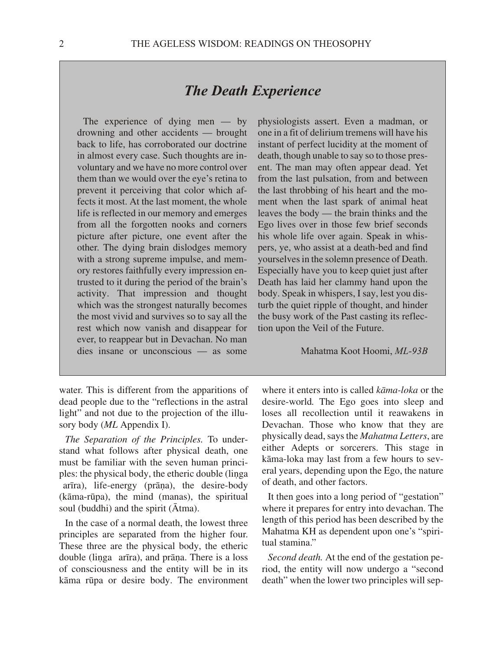#### *The Death Experience*

The experience of dying men  $-$  by drowning and other accidents — brought back to life, has corroborated our doctrine in almost every case. Such thoughts are involuntary and we have no more control over them than we would over the eye's retina to prevent it perceiving that color which affects it most. At the last moment, the whole life is reflected in our memory and emerges from all the forgotten nooks and corners picture after picture, one event after the other. The dying brain dislodges memory with a strong supreme impulse, and memory restores faithfully every impression entrusted to it during the period of the brain's activity. That impression and thought which was the strongest naturally becomes the most vivid and sur vives so to say all the rest which now vanish and disappear for ever, to reappear but in Devachan. No man dies insane or unconscious — as some

physiologists assert. Even a madman, or one in a fit of delirium tremens will have his instant of perfect lucidity at the moment of death, though unable to say so to those present. The man may often appear dead. Yet from the last pulsation, from and between the last throbbing of his heart and the moment when the last spark of animal heat leaves the body — the brain thinks and the Ego lives over in those few brief seconds his whole life over again. Speak in whispers, ye, who assist at a death-bed and find your selves in the solemn presence of Death. Especially have you to keep quiet just after Death has laid her clammy hand upon the body. Speak in whispers, I say, lest you disturb the quiet ripple of thought, and hinder the busy work of the Past casting its reflection upon the Veil of the Future.

Mahatma Koot Hoomi, *ML-93B*

water. This is different from the apparitions of dead people due to the "reflections in the astral light" and not due to the projection of the illusory body (*ML* Appendix I).

*The Separation of the Principles. To under*stand what follows after physical death, one must be familiar with the seven human principles: the physical body, the etheric double (linga arīra), life-energy (prāņa), the desire-body (kāma-rūpa), the mind (manas), the spiritual soul (buddhi) and the spirit  $(\bar{A}$ tma).

In the case of a normal death, the lowest three principles are separated from the higher four. These three are the physical body, the etheric double (linga arīra), and prāņa. There is a loss of consciousness and the entity will be in its kāma rūpa or desire body. The environment where it enters into is called *kāma-loka* or the de sire-world*.* The Ego goes into sleep and loses all recollection until it reawakens in Devachan. Those who know that they are physically dead, says the *Mahatma Letters*, are either Adepts or sorcerers. This stage in kāma-loka may last from a few hours to several years, depending upon the Ego, the nature of death, and other factors.

It then goes into a long period of "gestation" where it prepares for entry into devachan. The length of this period has been described by the Mahatma KH as dependent upon one's "spiritual stamina."

*Second death.* At the end of the gestation period, the entity will now undergo a "second death" when the lower two principles will sep-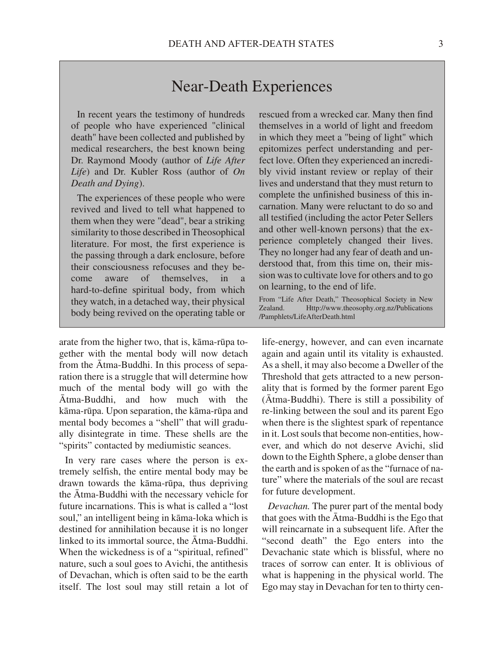### Near-Death Experiences

In recent years the testimony of hundreds of people who have experienced "clinical death" have been collected and published by medical researchers, the best known being Dr. Raymond Moody (author of *Life After Life*) and Dr. Kubler Ross (author of *On Death and Dying*).

The experiences of these people who were revived and lived to tell what happened to them when they were "dead", bear a striking similarity to those described in Theosophical literature. For most, the first experience is the passing through a dark enclosure, before their consciousness refocuses and they become aware of themselves, in a hard-to-define spiritual body, from which they watch, in a detached way, their physical body being revived on the operating table or

arate from the higher two, that is, kāma-rūpa together with the mental body will now detach from the Atma-Buddhi. In this process of separation there is a struggle that will determine how much of the mental body will go with the  $\bar{A}$ tma-Buddhi, and how much with the kāma-rūpa. Upon separation, the kāma-rūpa and mental body becomes a "shell" that will gradually disintegrate in time. These shells are the "spirits" contacted by mediumistic seances.

In very rare cases where the person is extremely selfish, the entire mental body may be drawn towards the kāma-rūpa, thus depriving the  $\bar{A}$ tma-Buddhi with the necessary vehicle for future incarnations. This is what is called a "lost" soul," an intelligent being in kāma-loka which is destined for annihilation because it is no longer linked to its immortal source, the  $\bar{A}$ tma-Buddhi. When the wickedness is of a "spiritual, refined" nature, such a soul goes to Avichi, the antithesis of Devachan, which is often said to be the earth itself. The lost soul may still retain a lot of

rescued from a wrecked car. Many then find themselves in a world of light and freedom in which they meet a "being of light" which epitomizes perfect understanding and perfect love. Often they experienced an incredibly vivid instant review or replay of their lives and understand that they must return to complete the unfinished business of this incarnation. Many were reluctant to do so and all testified (including the actor Peter Sellers and other well-known persons) that the experience completely changed their lives. They no longer had any fear of death and understood that, from this time on, their mission was to cultivate love for others and to go on learning, to the end of life.

From "Life After Death," Theosophical Society in New Zealand. Http://www.theosophy.org.nz/Publications /Pamphlets/LifeAfterDeath.html

life-energy, however, and can even incarnate again and again until its vitality is exhausted. As a shell, it may also become a Dweller of the Threshold that gets attracted to a new personality that is formed by the former parent Ego (Ātma-Buddhi). There is still a possibility of re-linking between the soul and its parent Ego when there is the slightest spark of repentance in it. Lost souls that become non-entities, however, and which do not deserve Avichi, slid down to the Eighth Sphere, a globe denser than the earth and is spoken of as the "furnace of nature" where the materials of the soul are recast for future development.

Devachan. The purer part of the mental body that goes with the  $\bar{A}$ tma-Buddhi is the Ego that will reincarnate in a subsequent life. After the "second death" the Ego enters into the Devachanic state which is blissful, where no traces of sorrow can enter. It is oblivious of what is happening in the physical world. The Ego may stay in Devachan for ten to thirty cen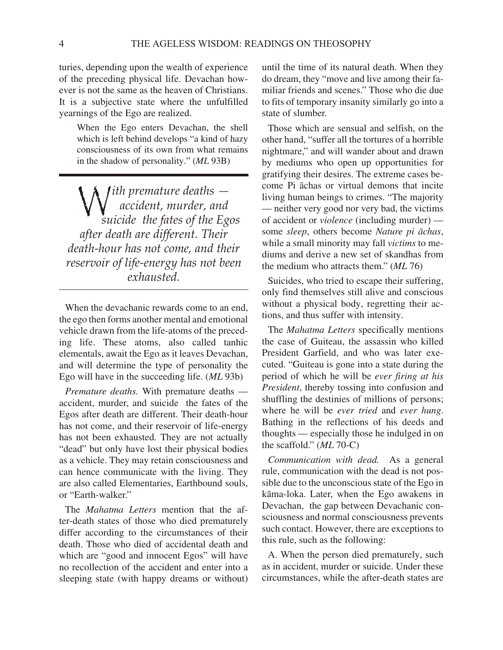turies, depending upon the wealth of experience of the preceding physical life. Devachan however is not the same as the heaven of Christians. It is a subjective state where the unfulfilled yearnings of the Ego are realized.

When the Ego enters Devachan, the shell which is left behind develops "a kind of hazy consciousness of its own from what remains in the shadow of personality." (*ML* 93B)

*With premature deaths* –<br>accident, murder, and<br>suicide the fates of the Eo  *ac ci dent, mur der, and sui cide the fates of the Egos af ter death are dif fer ent. Their death-hour has not come, and their reservoir of life-energy has not been ex hausted.*

When the devachanic rewards come to an end, the ego then forms another mental and emotional vehicle drawn from the life-atoms of the preceding life. These atoms, also called tanhic elementals, await the Ego as it leaves Devachan, and will determine the type of personality the Ego will have in the succeeding life. (*ML* 93b)

*Premature deaths.* With premature deaths accident, murder, and suicide the fates of the Egos after death are different. Their death-hour has not come, and their reservoir of life-energy has not been exhausted. They are not actually "dead" but only have lost their physical bodies as a vehicle. They may retain consciousness and can hence communicate with the living. They are also called Elementaries, Earthbound souls, or "Earth-walker."

The *Mahatma Letters* mention that the after-death states of those who died prematurely differ according to the circumstances of their death. Those who died of accidental death and which are "good and innocent Egos" will have no recollection of the accident and enter into a sleeping state (with happy dreams or without)

until the time of its natural death. When they do dream, they "move and live among their familiar friends and scenes." Those who die due to fits of temporary insanity similarly go into a state of slumber.

Those which are sensual and selfish, on the other hand, "suffer all the tortures of a horrible nightmare," and will wander about and drawn by mediums who open up opportunities for gratifying their desires. The extreme cases become Pi  $\bar{a}$ chas or virtual demons that incite living human beings to crimes. "The majority — neither very good nor very bad, the victims of accident or *violence* (including murder) some *sleep*, others become *Nature pi āchas*, while a small minority may fall *victims* to mediums and derive a new set of skandhas from the medium who attracts them." (*ML* 76)

Suicides, who tried to escape their suffering, only find themselves still alive and conscious without a physical body, regretting their actions, and thus suffer with intensity.

The *Mahatma Letters* specifically mentions the case of Guiteau, the assassin who killed President Garfield, and who was later executed. "Guiteau is gone into a state during the period of which he will be *ever firing at his President*, thereby tossing into confusion and shuffling the destinies of millions of persons; where he will be *ever tried* and *ever hung*. Bathing in the reflections of his deeds and thoughts — especially those he indulged in on the scaffold." (*ML* 70-C)

*Communication with dead.* As a general rule, communication with the dead is not possible due to the unconscious state of the Ego in kāma-loka. Later, when the Ego awakens in Devachan, the gap between Devachanic consciousness and normal consciousness prevents such contact. However, there are exceptions to this rule, such as the following:

A. When the person died prematurely, such as in accident, murder or suicide. Under these cir cum stances, while the after-death states are